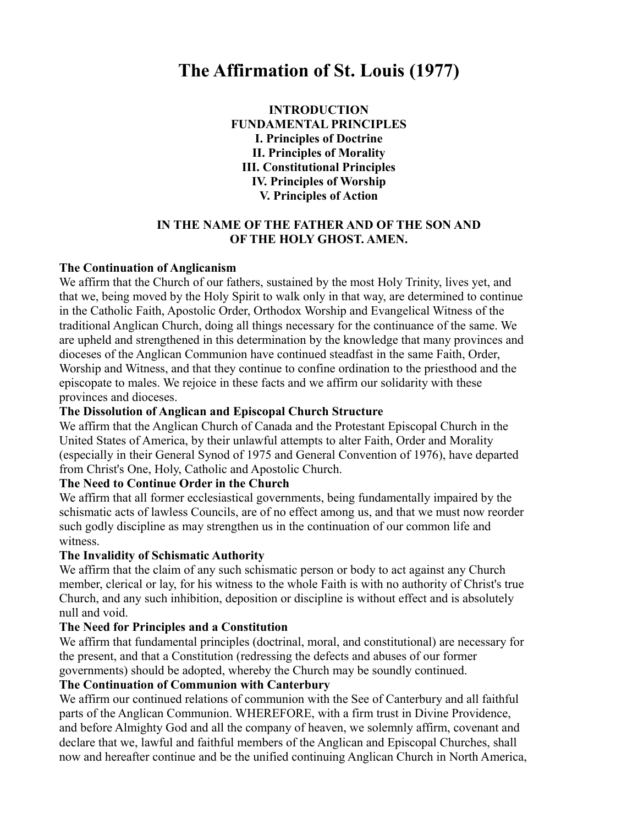# **The Affirmation of St. Louis (1977)**

**INTRODUCTION FUNDAMENTAL PRINCIPLES I. Principles of Doctrine II. Principles of Morality III. Constitutional Principles IV. Principles of Worship V. Principles of Action**

#### **IN THE NAME OF THE FATHER AND OF THE SON AND OF THE HOLY GHOST. AMEN.**

#### **The Continuation of Anglicanism**

We affirm that the Church of our fathers, sustained by the most Holy Trinity, lives yet, and that we, being moved by the Holy Spirit to walk only in that way, are determined to continue in the Catholic Faith, Apostolic Order, Orthodox Worship and Evangelical Witness of the traditional Anglican Church, doing all things necessary for the continuance of the same. We are upheld and strengthened in this determination by the knowledge that many provinces and dioceses of the Anglican Communion have continued steadfast in the same Faith, Order, Worship and Witness, and that they continue to confine ordination to the priesthood and the episcopate to males. We rejoice in these facts and we affirm our solidarity with these provinces and dioceses.

#### **The Dissolution of Anglican and Episcopal Church Structure**

We affirm that the Anglican Church of Canada and the Protestant Episcopal Church in the United States of America, by their unlawful attempts to alter Faith, Order and Morality (especially in their General Synod of 1975 and General Convention of 1976), have departed from Christ's One, Holy, Catholic and Apostolic Church.

#### **The Need to Continue Order in the Church**

We affirm that all former ecclesiastical governments, being fundamentally impaired by the schismatic acts of lawless Councils, are of no effect among us, and that we must now reorder such godly discipline as may strengthen us in the continuation of our common life and witness.

#### **The Invalidity of Schismatic Authority**

We affirm that the claim of any such schismatic person or body to act against any Church member, clerical or lay, for his witness to the whole Faith is with no authority of Christ's true Church, and any such inhibition, deposition or discipline is without effect and is absolutely null and void.

#### **The Need for Principles and a Constitution**

We affirm that fundamental principles (doctrinal, moral, and constitutional) are necessary for the present, and that a Constitution (redressing the defects and abuses of our former governments) should be adopted, whereby the Church may be soundly continued.

#### **The Continuation of Communion with Canterbury**

We affirm our continued relations of communion with the See of Canterbury and all faithful parts of the Anglican Communion. WHEREFORE, with a firm trust in Divine Providence, and before Almighty God and all the company of heaven, we solemnly affirm, covenant and declare that we, lawful and faithful members of the Anglican and Episcopal Churches, shall now and hereafter continue and be the unified continuing Anglican Church in North America,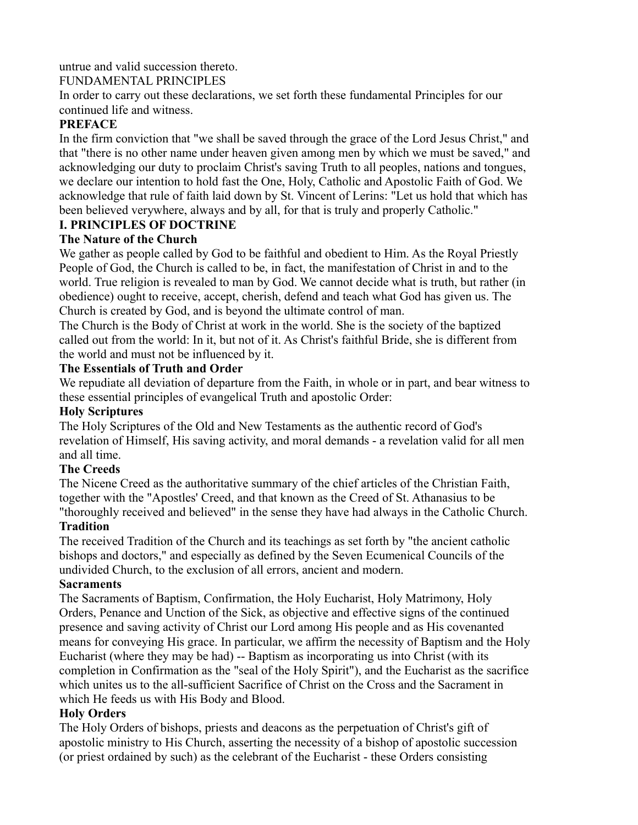untrue and valid succession thereto.

FUNDAMENTAL PRINCIPLES

In order to carry out these declarations, we set forth these fundamental Principles for our continued life and witness.

## **PREFACE**

In the firm conviction that "we shall be saved through the grace of the Lord Jesus Christ," and that "there is no other name under heaven given among men by which we must be saved," and acknowledging our duty to proclaim Christ's saving Truth to all peoples, nations and tongues, we declare our intention to hold fast the One, Holy, Catholic and Apostolic Faith of God. We acknowledge that rule of faith laid down by St. Vincent of Lerins: "Let us hold that which has been believed verywhere, always and by all, for that is truly and properly Catholic."

# **I. PRINCIPLES OF DOCTRINE**

## **The Nature of the Church**

We gather as people called by God to be faithful and obedient to Him. As the Royal Priestly People of God, the Church is called to be, in fact, the manifestation of Christ in and to the world. True religion is revealed to man by God. We cannot decide what is truth, but rather (in obedience) ought to receive, accept, cherish, defend and teach what God has given us. The Church is created by God, and is beyond the ultimate control of man.

The Church is the Body of Christ at work in the world. She is the society of the baptized called out from the world: In it, but not of it. As Christ's faithful Bride, she is different from the world and must not be influenced by it.

## **The Essentials of Truth and Order**

We repudiate all deviation of departure from the Faith, in whole or in part, and bear witness to these essential principles of evangelical Truth and apostolic Order:

## **Holy Scriptures**

The Holy Scriptures of the Old and New Testaments as the authentic record of God's revelation of Himself, His saving activity, and moral demands - a revelation valid for all men and all time.

## **The Creeds**

The Nicene Creed as the authoritative summary of the chief articles of the Christian Faith, together with the "Apostles' Creed, and that known as the Creed of St. Athanasius to be "thoroughly received and believed" in the sense they have had always in the Catholic Church.

# **Tradition**

The received Tradition of the Church and its teachings as set forth by "the ancient catholic bishops and doctors," and especially as defined by the Seven Ecumenical Councils of the undivided Church, to the exclusion of all errors, ancient and modern.

## **Sacraments**

The Sacraments of Baptism, Confirmation, the Holy Eucharist, Holy Matrimony, Holy Orders, Penance and Unction of the Sick, as objective and effective signs of the continued presence and saving activity of Christ our Lord among His people and as His covenanted means for conveying His grace. In particular, we affirm the necessity of Baptism and the Holy Eucharist (where they may be had) -- Baptism as incorporating us into Christ (with its completion in Confirmation as the "seal of the Holy Spirit"), and the Eucharist as the sacrifice which unites us to the all-sufficient Sacrifice of Christ on the Cross and the Sacrament in which He feeds us with His Body and Blood.

## **Holy Orders**

The Holy Orders of bishops, priests and deacons as the perpetuation of Christ's gift of apostolic ministry to His Church, asserting the necessity of a bishop of apostolic succession (or priest ordained by such) as the celebrant of the Eucharist - these Orders consisting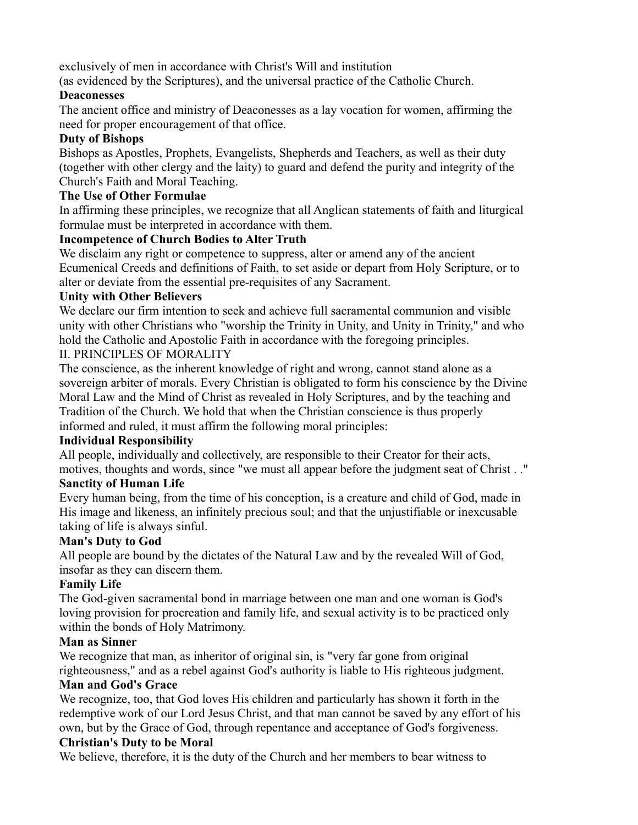exclusively of men in accordance with Christ's Will and institution

(as evidenced by the Scriptures), and the universal practice of the Catholic Church.

#### **Deaconesses**

The ancient office and ministry of Deaconesses as a lay vocation for women, affirming the need for proper encouragement of that office.

## **Duty of Bishops**

Bishops as Apostles, Prophets, Evangelists, Shepherds and Teachers, as well as their duty (together with other clergy and the laity) to guard and defend the purity and integrity of the Church's Faith and Moral Teaching.

## **The Use of Other Formulae**

In affirming these principles, we recognize that all Anglican statements of faith and liturgical formulae must be interpreted in accordance with them.

## **Incompetence of Church Bodies to Alter Truth**

We disclaim any right or competence to suppress, alter or amend any of the ancient Ecumenical Creeds and definitions of Faith, to set aside or depart from Holy Scripture, or to alter or deviate from the essential pre-requisites of any Sacrament.

## **Unity with Other Believers**

We declare our firm intention to seek and achieve full sacramental communion and visible unity with other Christians who "worship the Trinity in Unity, and Unity in Trinity," and who hold the Catholic and Apostolic Faith in accordance with the foregoing principles.

# II. PRINCIPLES OF MORALITY

The conscience, as the inherent knowledge of right and wrong, cannot stand alone as a sovereign arbiter of morals. Every Christian is obligated to form his conscience by the Divine Moral Law and the Mind of Christ as revealed in Holy Scriptures, and by the teaching and Tradition of the Church. We hold that when the Christian conscience is thus properly informed and ruled, it must affirm the following moral principles:

# **Individual Responsibility**

All people, individually and collectively, are responsible to their Creator for their acts, motives, thoughts and words, since "we must all appear before the judgment seat of Christ . ."

## **Sanctity of Human Life**

Every human being, from the time of his conception, is a creature and child of God, made in His image and likeness, an infinitely precious soul; and that the unjustifiable or inexcusable taking of life is always sinful.

## **Man's Duty to God**

All people are bound by the dictates of the Natural Law and by the revealed Will of God, insofar as they can discern them.

# **Family Life**

The God-given sacramental bond in marriage between one man and one woman is God's loving provision for procreation and family life, and sexual activity is to be practiced only within the bonds of Holy Matrimony.

## **Man as Sinner**

We recognize that man, as inheritor of original sin, is "very far gone from original righteousness," and as a rebel against God's authority is liable to His righteous judgment.

## **Man and God's Grace**

We recognize, too, that God loves His children and particularly has shown it forth in the redemptive work of our Lord Jesus Christ, and that man cannot be saved by any effort of his own, but by the Grace of God, through repentance and acceptance of God's forgiveness.

## **Christian's Duty to be Moral**

We believe, therefore, it is the duty of the Church and her members to bear witness to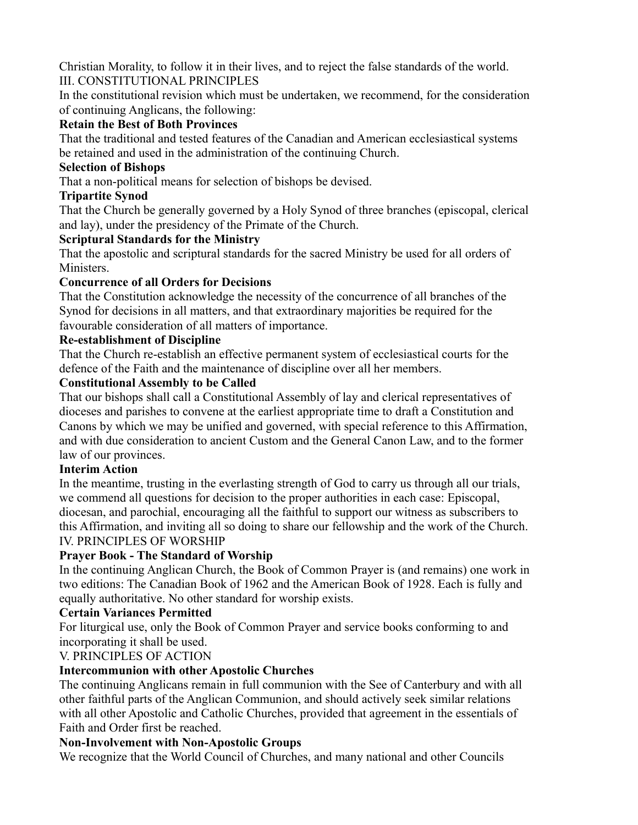Christian Morality, to follow it in their lives, and to reject the false standards of the world. III. CONSTITUTIONAL PRINCIPLES

In the constitutional revision which must be undertaken, we recommend, for the consideration of continuing Anglicans, the following:

# **Retain the Best of Both Provinces**

That the traditional and tested features of the Canadian and American ecclesiastical systems be retained and used in the administration of the continuing Church.

## **Selection of Bishops**

That a non-political means for selection of bishops be devised.

## **Tripartite Synod**

That the Church be generally governed by a Holy Synod of three branches (episcopal, clerical and lay), under the presidency of the Primate of the Church.

## **Scriptural Standards for the Ministry**

That the apostolic and scriptural standards for the sacred Ministry be used for all orders of Ministers.

## **Concurrence of all Orders for Decisions**

That the Constitution acknowledge the necessity of the concurrence of all branches of the Synod for decisions in all matters, and that extraordinary majorities be required for the favourable consideration of all matters of importance.

## **Re-establishment of Discipline**

That the Church re-establish an effective permanent system of ecclesiastical courts for the defence of the Faith and the maintenance of discipline over all her members.

## **Constitutional Assembly to be Called**

That our bishops shall call a Constitutional Assembly of lay and clerical representatives of dioceses and parishes to convene at the earliest appropriate time to draft a Constitution and Canons by which we may be unified and governed, with special reference to this Affirmation, and with due consideration to ancient Custom and the General Canon Law, and to the former law of our provinces.

## **Interim Action**

In the meantime, trusting in the everlasting strength of God to carry us through all our trials, we commend all questions for decision to the proper authorities in each case: Episcopal, diocesan, and parochial, encouraging all the faithful to support our witness as subscribers to this Affirmation, and inviting all so doing to share our fellowship and the work of the Church. IV. PRINCIPLES OF WORSHIP

## **Prayer Book - The Standard of Worship**

In the continuing Anglican Church, the Book of Common Prayer is (and remains) one work in two editions: The Canadian Book of 1962 and the American Book of 1928. Each is fully and equally authoritative. No other standard for worship exists.

## **Certain Variances Permitted**

For liturgical use, only the Book of Common Prayer and service books conforming to and incorporating it shall be used.

## V. PRINCIPLES OF ACTION

## **Intercommunion with other Apostolic Churches**

The continuing Anglicans remain in full communion with the See of Canterbury and with all other faithful parts of the Anglican Communion, and should actively seek similar relations with all other Apostolic and Catholic Churches, provided that agreement in the essentials of Faith and Order first be reached.

## **Non-Involvement with Non-Apostolic Groups**

We recognize that the World Council of Churches, and many national and other Councils